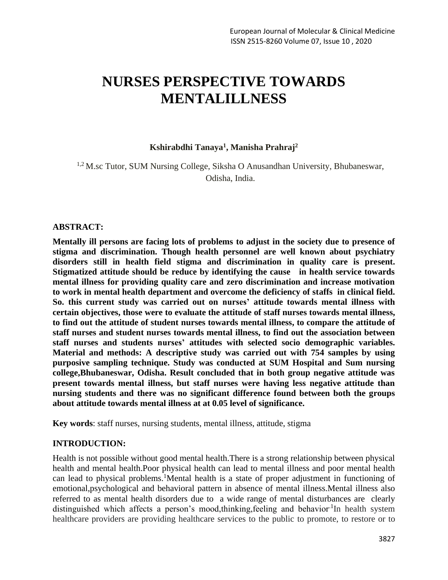# **NURSES PERSPECTIVE TOWARDS MENTALILLNESS**

## **Kshirabdhi Tanaya<sup>1</sup> , Manisha Prahraj<sup>2</sup>**

<sup>1,2</sup> M.sc Tutor, SUM Nursing College, Siksha O Anusandhan University, Bhubaneswar, Odisha, India.

#### **ABSTRACT:**

**Mentally ill persons are facing lots of problems to adjust in the society due to presence of stigma and discrimination. Though health personnel are well known about psychiatry disorders still in health field stigma and discrimination in quality care is present. Stigmatized attitude should be reduce by identifying the cause in health service towards mental illness for providing quality care and zero discrimination and increase motivation to work in mental health department and overcome the deficiency of staffs in clinical field. So. this current study was carried out on nurses' attitude towards mental illness with certain objectives, those were to evaluate the attitude of staff nurses towards mental illness, to find out the attitude of student nurses towards mental illness, to compare the attitude of staff nurses and student nurses towards mental illness, to find out the association between staff nurses and students nurses' attitudes with selected socio demographic variables. Material and methods: A descriptive study was carried out with 754 samples by using purposive sampling technique. Study was conducted at SUM Hospital and Sum nursing college,Bhubaneswar, Odisha. Result concluded that in both group negative attitude was present towards mental illness, but staff nurses were having less negative attitude than nursing students and there was no significant difference found between both the groups about attitude towards mental illness at at 0.05 level of significance.**

**Key words**: staff nurses, nursing students, mental illness, attitude, stigma

## **INTRODUCTION:**

Health is not possible without good mental health.There is a strong relationship between physical health and mental health.Poor physical health can lead to mental illness and poor mental health can lead to physical problems.<sup>1</sup>Mental health is a state of proper adjustment in functioning of emotional,psychological and behavioral pattern in absence of mental illness.Mental illness also referred to as mental health disorders due to a wide range of mental disturbances are clearly distinguished which affects a person's mood, thinking, feeling and behavior<sup>1</sup>In health system healthcare providers are providing healthcare services to the public to promote, to restore or to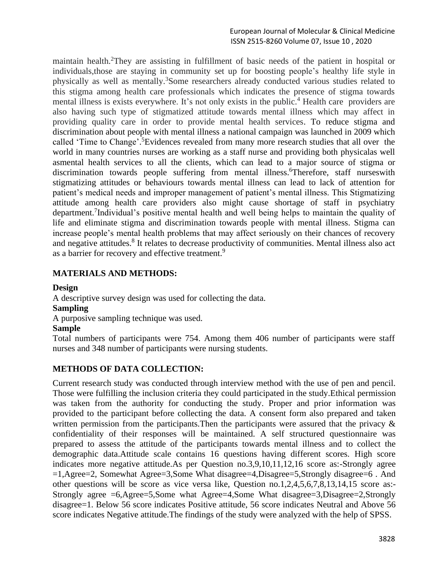maintain health.<sup>2</sup>They are assisting in fulfillment of basic needs of the patient in hospital or individuals,those are staying in community set up for boosting people's healthy life style in physically as well as mentally.<sup>3</sup>Some researchers already conducted various studies related to this stigma among health care professionals which indicates the presence of stigma towards mental illness is exists everywhere. It's not only exists in the public.<sup>4</sup> Health care providers are also having such type of stigmatized attitude towards mental illness which may affect in providing quality care in order to provide mental health services. To reduce stigma and discrimination about people with mental illness a national campaign was launched in 2009 which called 'Time to Change'. <sup>5</sup>Evidences revealed from many more research studies that all over the world in many countries nurses are working as a staff nurse and providing both physicalas well asmental health services to all the clients, which can lead to a major source of stigma or discrimination towards people suffering from mental illness.<sup>6</sup>Therefore, staff nurseswith stigmatizing attitudes or behaviours towards mental illness can lead to lack of attention for patient's medical needs and improper management of patient's mental illness. This Stigmatizing attitude among health care providers also might cause shortage of staff in psychiatry department.<sup>7</sup>Individual's positive mental health and well being helps to maintain the quality of life and eliminate stigma and discrimination towards people with mental illness. Stigma can increase people's mental health problems that may affect seriously on their chances of recovery and negative attitudes.<sup>8</sup> It relates to decrease productivity of communities. Mental illness also act as a barrier for recovery and effective treatment.<sup>9</sup>

# **MATERIALS AND METHODS:**

**Design** A descriptive survey design was used for collecting the data. **Sampling** A purposive sampling technique was used. **Sample** Total numbers of participants were 754. Among them 406 number of participants were staff nurses and 348 number of participants were nursing students.

# **METHODS OF DATA COLLECTION:**

Current research study was conducted through interview method with the use of pen and pencil. Those were fulfilling the inclusion criteria they could participated in the study.Ethical permission was taken from the authority for conducting the study. Proper and prior information was provided to the participant before collecting the data. A consent form also prepared and taken written permission from the participants. Then the participants were assured that the privacy & confidentiality of their responses will be maintained. A self structured questionnaire was prepared to assess the attitude of the participants towards mental illness and to collect the demographic data.Attitude scale contains 16 questions having different scores. High score indicates more negative attitude.As per Question no.3,9,10,11,12,16 score as:-Strongly agree =1,Agree=2, Somewhat Agree=3,Some What disagree=4,Disagree=5,Strongly disagree=6 . And other questions will be score as vice versa like, Question no.1,2,4,5,6,7,8,13,14,15 score as:- Strongly agree =6,Agree=5,Some what Agree=4,Some What disagree=3,Disagree=2,Strongly disagree=1. Below 56 score indicates Positive attitude, 56 score indicates Neutral and Above 56 score indicates Negative attitude.The findings of the study were analyzed with the help of SPSS.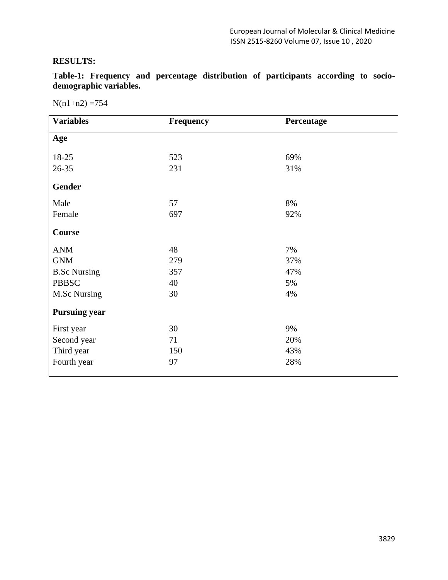# **RESULTS:**

**Table-1: Frequency and percentage distribution of participants according to sociodemographic variables.**

 $N(n1+n2) = 754$ 

| <b>Variables</b>     | Frequency | Percentage |  |  |  |  |
|----------------------|-----------|------------|--|--|--|--|
| Age                  |           |            |  |  |  |  |
| 18-25                | 523       | 69%        |  |  |  |  |
| 26-35                | 231       | 31%        |  |  |  |  |
| <b>Gender</b>        |           |            |  |  |  |  |
| Male                 | 57        | 8%         |  |  |  |  |
| Female               | 697       | 92%        |  |  |  |  |
| Course               |           |            |  |  |  |  |
| <b>ANM</b>           | 48        | 7%         |  |  |  |  |
| <b>GNM</b>           | 279       | 37%        |  |  |  |  |
| <b>B.Sc Nursing</b>  | 357       | 47%        |  |  |  |  |
| <b>PBBSC</b>         | 40        | 5%         |  |  |  |  |
| <b>M.Sc Nursing</b>  | 30        | 4%         |  |  |  |  |
| <b>Pursuing year</b> |           |            |  |  |  |  |
| First year           | 30        | 9%         |  |  |  |  |
| Second year          | 71        | 20%        |  |  |  |  |
| Third year           | 150       | 43%        |  |  |  |  |
| Fourth year          | 97        | 28%        |  |  |  |  |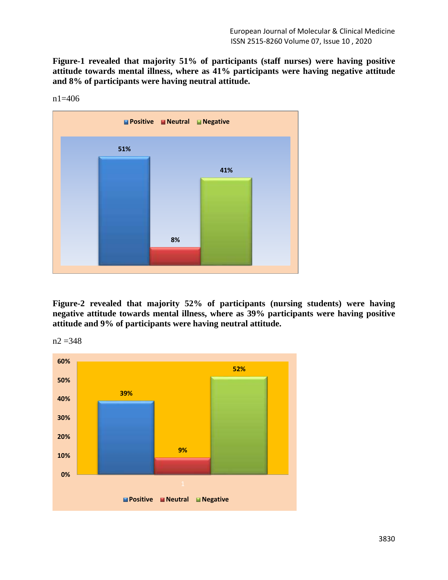**Figure-1 revealed that majority 51% of participants (staff nurses) were having positive attitude towards mental illness, where as 41% participants were having negative attitude and 8% of participants were having neutral attitude.**



n1=406

**Figure-2 revealed that majority 52% of participants (nursing students) were having negative attitude towards mental illness, where as 39% participants were having positive attitude and 9% of participants were having neutral attitude.**



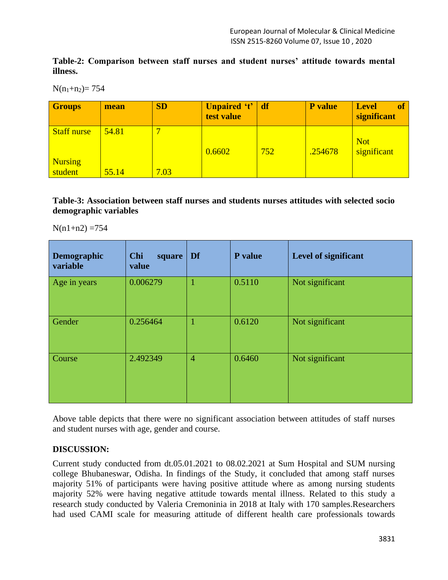**Table-2: Comparison between staff nurses and student nurses' attitude towards mental illness.**

 $N(n_1+n_2)= 754$ 

| <b>Groups</b>             | mean  | <b>SD</b>                | Unpaired 't' df<br>test value |     | <b>P</b> value | <b>of</b><br><b>Level</b><br>significant |
|---------------------------|-------|--------------------------|-------------------------------|-----|----------------|------------------------------------------|
| <b>Staff nurse</b>        | 54.81 | $\overline{\phantom{0}}$ | 0.6602                        | 752 | .254678        | <b>Not</b><br>significant                |
| <b>Nursing</b><br>student | 55.14 | 7.03                     |                               |     |                |                                          |

**Table-3: Association between staff nurses and students nurses attitudes with selected socio demographic variables**

 $N(n1+n2) = 754$ 

| Demographic<br>variable | <b>Chi</b><br>square<br>value | Df             | P value | Level of significant |
|-------------------------|-------------------------------|----------------|---------|----------------------|
| Age in years            | 0.006279                      |                | 0.5110  | Not significant      |
| Gender                  | 0.256464                      |                | 0.6120  | Not significant      |
| Course                  | 2.492349                      | $\overline{4}$ | 0.6460  | Not significant      |

Above table depicts that there were no significant association between attitudes of staff nurses and student nurses with age, gender and course.

# **DISCUSSION:**

Current study conducted from dt.05.01.2021 to 08.02.2021 at Sum Hospital and SUM nursing college Bhubaneswar, Odisha. In findings of the Study, it concluded that among staff nurses majority 51% of participants were having positive attitude where as among nursing students majority 52% were having negative attitude towards mental illness. Related to this study a research study conducted by Valeria Cremoninia in 2018 at Italy with 170 samples.Researchers had used CAMI scale for measuring attitude of different health care professionals towards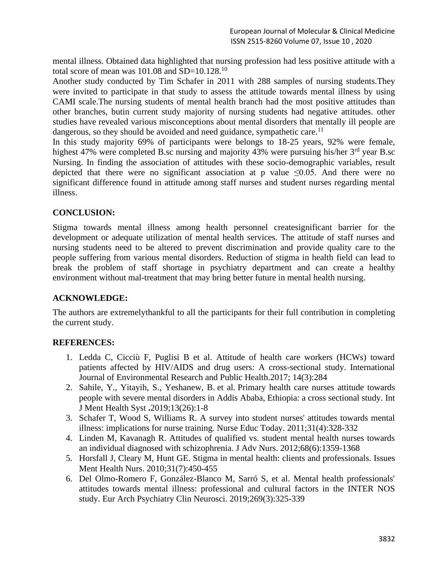mental illness. Obtained data highlighted that nursing profession had less positive attitude with a total score of mean was  $101.08$  and  $SD=10.128$ .<sup>10</sup>

Another study conducted by Tim Schafer in 2011 with 288 samples of nursing students.They were invited to participate in that study to assess the attitude towards mental illness by using CAMI scale.The nursing students of mental health branch had the most positive attitudes than other branches, butin current study majority of nursing students had negative attitudes. other studies have revealed various misconceptions about mental disorders that mentally ill people are dangerous, so they should be avoided and need guidance, sympathetic care.<sup>11</sup>

In this study majority 69% of participants were belongs to 18-25 years, 92% were female, highest 47% were completed B.sc nursing and majority 43% were pursuing his/her 3<sup>rd</sup> year B.sc Nursing. In finding the association of attitudes with these socio-demographic variables, result depicted that there were no significant association at p value  $\leq 0.05$ . And there were no significant difference found in attitude among staff nurses and student nurses regarding mental illness.

# **CONCLUSION:**

Stigma towards mental illness among health personnel createsignificant barrier for the development or adequate utilization of mental health services. The attitude of staff nurses and nursing students need to be altered to prevent discrimination and provide quality care to the people suffering from various mental disorders. Reduction of stigma in health field can lead to break the problem of staff shortage in psychiatry department and can create a healthy environment without mal-treatment that may bring better future in mental health nursing.

## **ACKNOWLEDGE:**

The authors are extremelythankful to all the participants for their full contribution in completing the current study.

## **REFERENCES:**

- 1. Ledda C, Cicciù F, Puglisi B et al. Attitude of health care workers (HCWs) toward patients affected by HIV/AIDS and drug users: A cross-sectional study. International Journal of Environmental Research and Public Health.2017; 14(3):284
- 2. Sahile, Y., Yitayih, S., Yeshanew, B. et al. Primary health care nurses attitude towards people with severe mental disorders in Addis Ababa, Ethiopia: a cross sectional study. Int J Ment Health Syst **.**2019;13(26):1-8
- 3. Schafer T, Wood S, Williams R. A survey into student nurses' attitudes towards mental illness: implications for nurse training. Nurse Educ Today. 2011;31(4):328-332
- 4. Linden M, Kavanagh R. Attitudes of qualified vs. student mental health nurses towards an individual diagnosed with schizophrenia. J Adv Nurs. 2012;68(6):1359-1368
- 5. Horsfall J, Cleary M, Hunt GE. Stigma in mental health: clients and professionals. Issues Ment Health Nurs. 2010;31(7):450-455
- 6. Del Olmo-Romero F, González-Blanco M, Sarró S, et al. Mental health professionals' attitudes towards mental illness: professional and cultural factors in the INTER NOS study. Eur Arch Psychiatry Clin Neurosci. 2019;269(3):325-339